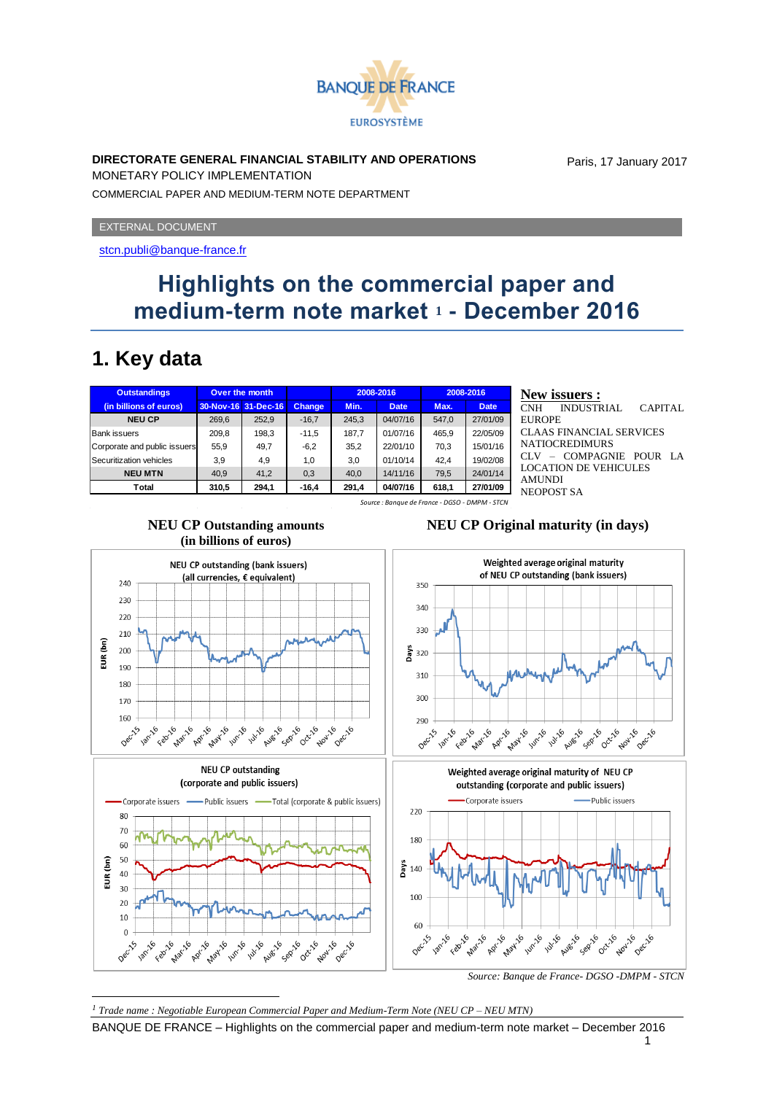

#### **DIRECTORATE GENERAL FINANCIAL STABILITY AND OPERATIONS**

Paris, 17 January 2017

MONETARY POLICY IMPLEMENTATION COMMERCIAL PAPER AND MEDIUM-TERM NOTE DEPARTMENT

EXTERNAL DOCUMENT

<stcn.publi@banque-france.fr>

# **Highlights on the commercial paper and medium-term note market <sup>1</sup> - December 2016**

### **1. Key data**

| <b>Outstandings</b>                            | Over the month |                     |         | 2008-2016 |             | 2008-2016 |             |
|------------------------------------------------|----------------|---------------------|---------|-----------|-------------|-----------|-------------|
| (in billions of euros)                         |                | 30-Nov-16 31-Dec-16 | Change, | Min.      | <b>Date</b> | Max.      | <b>Date</b> |
| <b>NEU CP</b>                                  | 269.6          | 252,9               | $-16,7$ | 245,3     | 04/07/16    | 547.0     | 27/01/09    |
| <b>Bank issuers</b>                            | 209.8          | 198.3               | $-11,5$ | 187.7     | 01/07/16    | 465.9     | 22/05/09    |
| Corporate and public issuers                   | 55.9           | 49.7                | $-6.2$  | 35.2      | 22/01/10    | 70.3      | 15/01/16    |
| Securitization vehicles                        | 3,9            | 4,9                 | 1,0     | 3.0       | 01/10/14    | 42.4      | 19/02/08    |
| <b>NEU MTN</b>                                 | 40.9           | 41,2                | 0,3     | 40.0      | 14/11/16    | 79,5      | 24/01/14    |
| Total                                          | 310,5          | 294,1               | $-16,4$ | 291,4     | 04/07/16    | 618,1     | 27/01/09    |
| Source : Banaue de France - DGSO - DMPM - STCN |                |                     |         |           |             |           |             |

#### **New issuers :** INDUSTRIAL CAPITAL EUROPE CLAAS FINANCIAL SERVICES NATIOCREDIMURS CLV – COMPAGNIE POUR LA LOCATION DE VEHICULES AMUNDI NEOPOST SA

**NEU CP Outstanding amounts** 

**NEU CP Original maturity (in days)**



BANQUE DE FRANCE – Highlights on the commercial paper and medium-term note market – December 2016